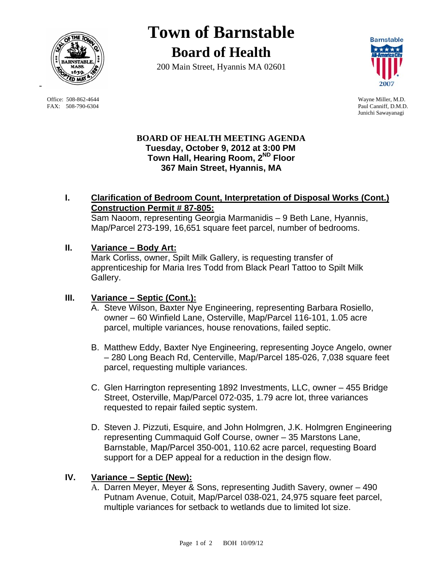

 Office: 508-862-4644 Wayne Miller, M.D. FAX: 508-790-6304 Paul Canniff, D.M.D.

# **Town of Barnstable Board of Health**

200 Main Street, Hyannis MA 02601



Junichi Sawayanagi

# **BOARD OF HEALTH MEETING AGENDA Tuesday, October 9, 2012 at 3:00 PM Town Hall, Hearing Room, 2ND Floor 367 Main Street, Hyannis, MA**

# **I. Clarification of Bedroom Count, Interpretation of Disposal Works (Cont.) Construction Permit # 87-805:**

Sam Naoom, representing Georgia Marmanidis – 9 Beth Lane, Hyannis, Map/Parcel 273-199, 16,651 square feet parcel, number of bedrooms.

# **II. Variance – Body Art:**

Mark Corliss, owner, Spilt Milk Gallery, is requesting transfer of apprenticeship for Maria Ires Todd from Black Pearl Tattoo to Spilt Milk Gallery.

#### **III. Variance – Septic (Cont.):**

- A. Steve Wilson, Baxter Nye Engineering, representing Barbara Rosiello, owner – 60 Winfield Lane, Osterville, Map/Parcel 116-101, 1.05 acre parcel, multiple variances, house renovations, failed septic.
- B. Matthew Eddy, Baxter Nye Engineering, representing Joyce Angelo, owner – 280 Long Beach Rd, Centerville, Map/Parcel 185-026, 7,038 square feet parcel, requesting multiple variances.
- C. Glen Harrington representing 1892 Investments, LLC, owner 455 Bridge Street, Osterville, Map/Parcel 072-035, 1.79 acre lot, three variances requested to repair failed septic system.
- D. Steven J. Pizzuti, Esquire, and John Holmgren, J.K. Holmgren Engineering representing Cummaquid Golf Course, owner – 35 Marstons Lane, Barnstable, Map/Parcel 350-001, 110.62 acre parcel, requesting Board support for a DEP appeal for a reduction in the design flow.

#### **IV. Variance – Septic (New):**

A. Darren Meyer, Meyer & Sons, representing Judith Savery, owner – 490 Putnam Avenue, Cotuit, Map/Parcel 038-021, 24,975 square feet parcel, multiple variances for setback to wetlands due to limited lot size.